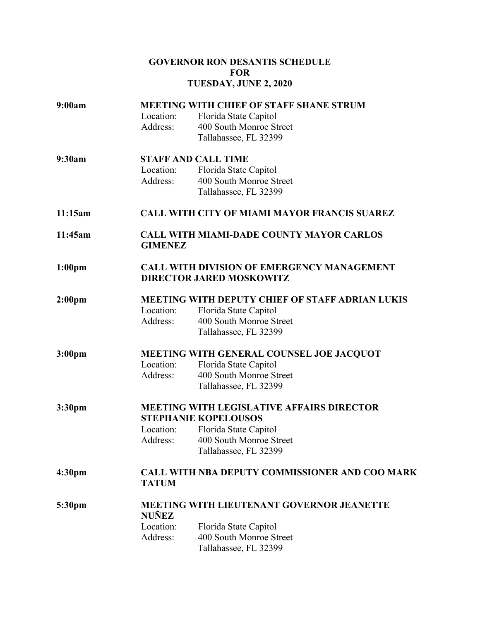# **GOVERNOR RON DESANTIS SCHEDULE FOR TUESDAY, JUNE 2, 2020**

| 9:00am             | <b>MEETING WITH CHIEF OF STAFF SHANE STRUM</b>                    |                                                  |  |
|--------------------|-------------------------------------------------------------------|--------------------------------------------------|--|
|                    | Location:                                                         | Florida State Capitol                            |  |
|                    | Address:                                                          | 400 South Monroe Street                          |  |
|                    |                                                                   | Tallahassee, FL 32399                            |  |
| 9:30am             | <b>STAFF AND CALL TIME</b>                                        |                                                  |  |
|                    | Location:                                                         | Florida State Capitol                            |  |
|                    | Address:                                                          | 400 South Monroe Street                          |  |
|                    |                                                                   | Tallahassee, FL 32399                            |  |
| 11:15am            | <b>CALL WITH CITY OF MIAMI MAYOR FRANCIS SUAREZ</b>               |                                                  |  |
| 11:45am            | <b>CALL WITH MIAMI-DADE COUNTY MAYOR CARLOS</b><br><b>GIMENEZ</b> |                                                  |  |
| 1:00 <sub>pm</sub> | <b>CALL WITH DIVISION OF EMERGENCY MANAGEMENT</b>                 |                                                  |  |
|                    | <b>DIRECTOR JARED MOSKOWITZ</b>                                   |                                                  |  |
| 2:00 <sub>pm</sub> |                                                                   | MEETING WITH DEPUTY CHIEF OF STAFF ADRIAN LUKIS  |  |
|                    | Location:                                                         | Florida State Capitol                            |  |
|                    | Address:                                                          | 400 South Monroe Street                          |  |
|                    |                                                                   | Tallahassee, FL 32399                            |  |
| 3:00 <sub>pm</sub> | MEETING WITH GENERAL COUNSEL JOE JACQUOT                          |                                                  |  |
|                    | Location:                                                         | Florida State Capitol                            |  |
|                    | Address:                                                          | 400 South Monroe Street                          |  |
|                    |                                                                   | Tallahassee, FL 32399                            |  |
| 3:30pm             | <b>MEETING WITH LEGISLATIVE AFFAIRS DIRECTOR</b>                  |                                                  |  |
|                    |                                                                   | <b>STEPHANIE KOPELOUSOS</b>                      |  |
|                    | Location:<br>Address:                                             | Florida State Capitol<br>400 South Monroe Street |  |
|                    |                                                                   | Tallahassee, FL 32399                            |  |
|                    |                                                                   |                                                  |  |
| 4:30 <sub>pm</sub> | <b>CALL WITH NBA DEPUTY COMMISSIONER AND COO MARK</b>             |                                                  |  |
|                    | <b>TATUM</b>                                                      |                                                  |  |
| 5:30pm             | <b>MEETING WITH LIEUTENANT GOVERNOR JEANETTE</b><br><b>NUÑEZ</b>  |                                                  |  |
|                    | Location:                                                         | Florida State Capitol                            |  |
|                    | Address:                                                          | 400 South Monroe Street                          |  |
|                    |                                                                   | Tallahassee, FL 32399                            |  |